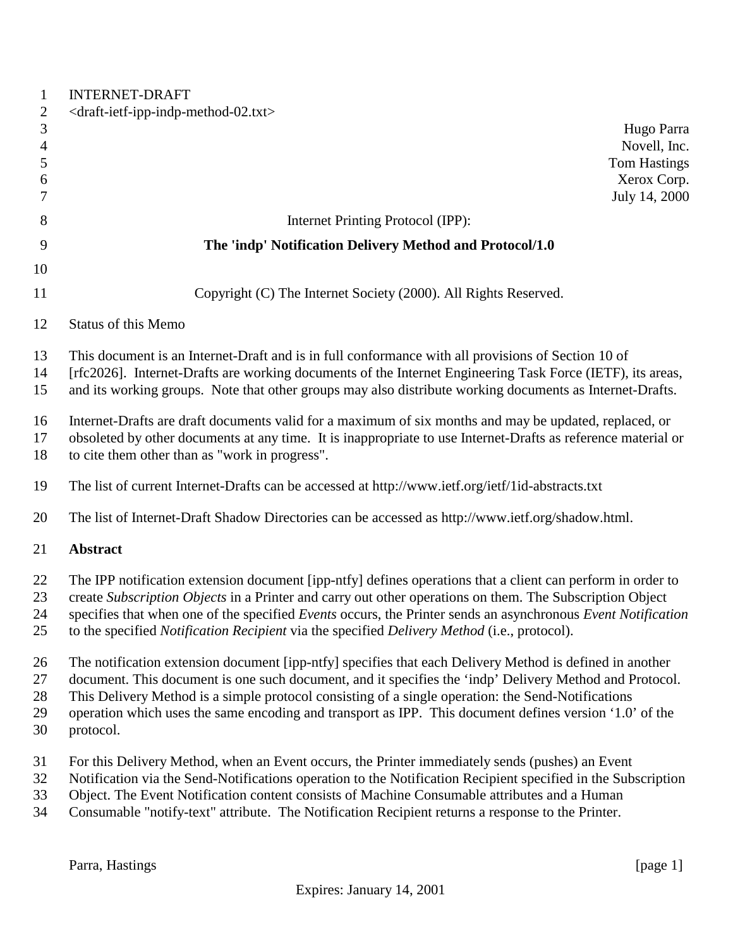| $\mathbf{1}$        | <b>INTERNET-DRAFT</b>                                                                                                                                                                                                     |
|---------------------|---------------------------------------------------------------------------------------------------------------------------------------------------------------------------------------------------------------------------|
| $\overline{c}$      | <draft-ietf-ipp-indp-method-02.txt></draft-ietf-ipp-indp-method-02.txt>                                                                                                                                                   |
| $\mathfrak{Z}$      | Hugo Parra                                                                                                                                                                                                                |
| $\overline{4}$<br>5 | Novell, Inc.<br><b>Tom Hastings</b>                                                                                                                                                                                       |
| 6                   | Xerox Corp.                                                                                                                                                                                                               |
| 7                   | July 14, 2000                                                                                                                                                                                                             |
| 8                   | Internet Printing Protocol (IPP):                                                                                                                                                                                         |
| 9                   | The 'indp' Notification Delivery Method and Protocol/1.0                                                                                                                                                                  |
| 10                  |                                                                                                                                                                                                                           |
| 11                  | Copyright (C) The Internet Society (2000). All Rights Reserved.                                                                                                                                                           |
| 12                  | Status of this Memo                                                                                                                                                                                                       |
| 13                  | This document is an Internet-Draft and is in full conformance with all provisions of Section 10 of                                                                                                                        |
| 14<br>15            | [rfc2026]. Internet-Drafts are working documents of the Internet Engineering Task Force (IETF), its areas,<br>and its working groups. Note that other groups may also distribute working documents as Internet-Drafts.    |
| 16                  | Internet-Drafts are draft documents valid for a maximum of six months and may be updated, replaced, or                                                                                                                    |
| 17<br>18            | obsoleted by other documents at any time. It is inappropriate to use Internet-Drafts as reference material or<br>to cite them other than as "work in progress".                                                           |
| 19                  | The list of current Internet-Drafts can be accessed at http://www.ietf.org/ietf/1id-abstracts.txt                                                                                                                         |
| 20                  | The list of Internet-Draft Shadow Directories can be accessed as http://www.ietf.org/shadow.html.                                                                                                                         |
| 21                  | <b>Abstract</b>                                                                                                                                                                                                           |
| 22                  | The IPP notification extension document [ipp-ntfy] defines operations that a client can perform in order to                                                                                                               |
| 23                  | create Subscription Objects in a Printer and carry out other operations on them. The Subscription Object                                                                                                                  |
| 24<br>25            | specifies that when one of the specified Events occurs, the Printer sends an asynchronous Event Notification<br>to the specified <i>Notification Recipient</i> via the specified <i>Delivery Method</i> (i.e., protocol). |
| 26                  | The notification extension document [ipp-ntfy] specifies that each Delivery Method is defined in another                                                                                                                  |
| 27                  | document. This document is one such document, and it specifies the 'indp' Delivery Method and Protocol.                                                                                                                   |
| 28<br>29            | This Delivery Method is a simple protocol consisting of a single operation: the Send-Notifications<br>operation which uses the same encoding and transport as IPP. This document defines version '1.0' of the             |
| 30                  | protocol.                                                                                                                                                                                                                 |
| 31                  | For this Delivery Method, when an Event occurs, the Printer immediately sends (pushes) an Event                                                                                                                           |
| 32                  | Notification via the Send-Notifications operation to the Notification Recipient specified in the Subscription                                                                                                             |
| 33<br>34            | Object. The Event Notification content consists of Machine Consumable attributes and a Human<br>Consumable "notify-text" attribute. The Notification Recipient returns a response to the Printer.                         |
|                     |                                                                                                                                                                                                                           |

Parra, Hastings [page 1]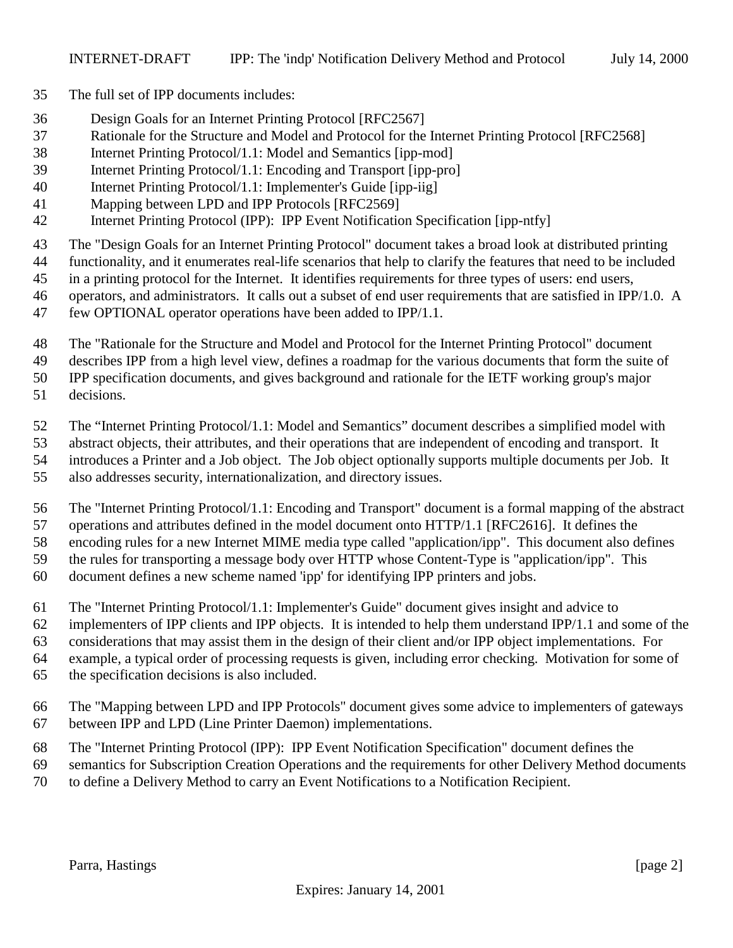- The full set of IPP documents includes:
- Design Goals for an Internet Printing Protocol [RFC2567]
- Rationale for the Structure and Model and Protocol for the Internet Printing Protocol [RFC2568]
- Internet Printing Protocol/1.1: Model and Semantics [ipp-mod]
- Internet Printing Protocol/1.1: Encoding and Transport [ipp-pro]
- Internet Printing Protocol/1.1: Implementer's Guide [ipp-iig]
- Mapping between LPD and IPP Protocols [RFC2569]
- Internet Printing Protocol (IPP): IPP Event Notification Specification [ipp-ntfy]
- The "Design Goals for an Internet Printing Protocol" document takes a broad look at distributed printing
- functionality, and it enumerates real-life scenarios that help to clarify the features that need to be included
- in a printing protocol for the Internet. It identifies requirements for three types of users: end users,
- operators, and administrators. It calls out a subset of end user requirements that are satisfied in IPP/1.0. A
- few OPTIONAL operator operations have been added to IPP/1.1.
- The "Rationale for the Structure and Model and Protocol for the Internet Printing Protocol" document
- describes IPP from a high level view, defines a roadmap for the various documents that form the suite of
- IPP specification documents, and gives background and rationale for the IETF working group's major
- decisions.
- The "Internet Printing Protocol/1.1: Model and Semantics" document describes a simplified model with
- abstract objects, their attributes, and their operations that are independent of encoding and transport. It
- introduces a Printer and a Job object. The Job object optionally supports multiple documents per Job. It
- also addresses security, internationalization, and directory issues.
- The "Internet Printing Protocol/1.1: Encoding and Transport" document is a formal mapping of the abstract
- operations and attributes defined in the model document onto HTTP/1.1 [RFC2616]. It defines the encoding rules for a new Internet MIME media type called "application/ipp". This document also defines
- the rules for transporting a message body over HTTP whose Content-Type is "application/ipp". This
- document defines a new scheme named 'ipp' for identifying IPP printers and jobs.
- The "Internet Printing Protocol/1.1: Implementer's Guide" document gives insight and advice to
- implementers of IPP clients and IPP objects. It is intended to help them understand IPP/1.1 and some of the
- considerations that may assist them in the design of their client and/or IPP object implementations. For
- example, a typical order of processing requests is given, including error checking. Motivation for some of
- the specification decisions is also included.
- The "Mapping between LPD and IPP Protocols" document gives some advice to implementers of gateways between IPP and LPD (Line Printer Daemon) implementations.
- The "Internet Printing Protocol (IPP): IPP Event Notification Specification" document defines the
- semantics for Subscription Creation Operations and the requirements for other Delivery Method documents
- to define a Delivery Method to carry an Event Notifications to a Notification Recipient.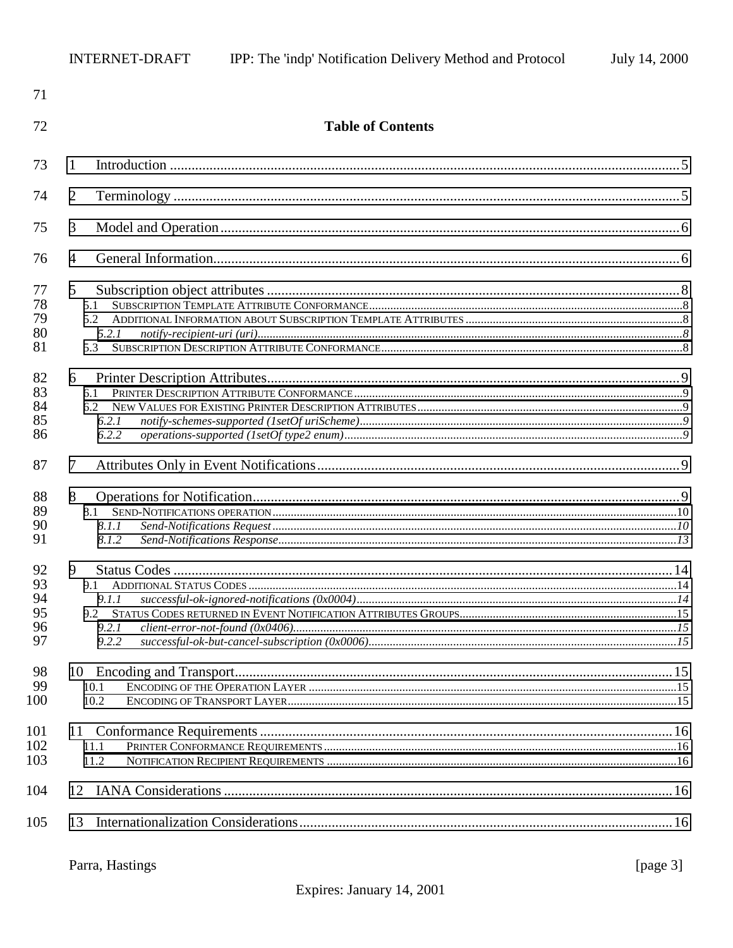| 71                               |                                              |  |
|----------------------------------|----------------------------------------------|--|
| 72                               | <b>Table of Contents</b>                     |  |
| 73                               | 1                                            |  |
| 74                               | $\overline{2}$                               |  |
| 75                               | 3                                            |  |
| 76                               | $\overline{4}$                               |  |
| 77<br>78<br>79<br>80<br>81       | 5 <sup>5</sup><br>5.1<br>5.2<br>5.2.1<br>5.3 |  |
| 82<br>83<br>84<br>85<br>86       | 6<br>6.1<br>6.2<br>6.2.1<br>6.2.2            |  |
| 87<br>88<br>89<br>90<br>91       | 7<br>8<br>8.1.1<br>8.1.2                     |  |
| 92<br>93<br>94<br>95<br>96<br>97 | 9<br>9.1<br>9.1.1<br>9.2.1<br>9.2.2          |  |
| 98<br>99<br>100                  | 10.1<br>10.2                                 |  |
| 101<br>102<br>103                | 11.1<br>11.2                                 |  |
| 104                              |                                              |  |
| 105                              | 13                                           |  |

[page  $3$ ]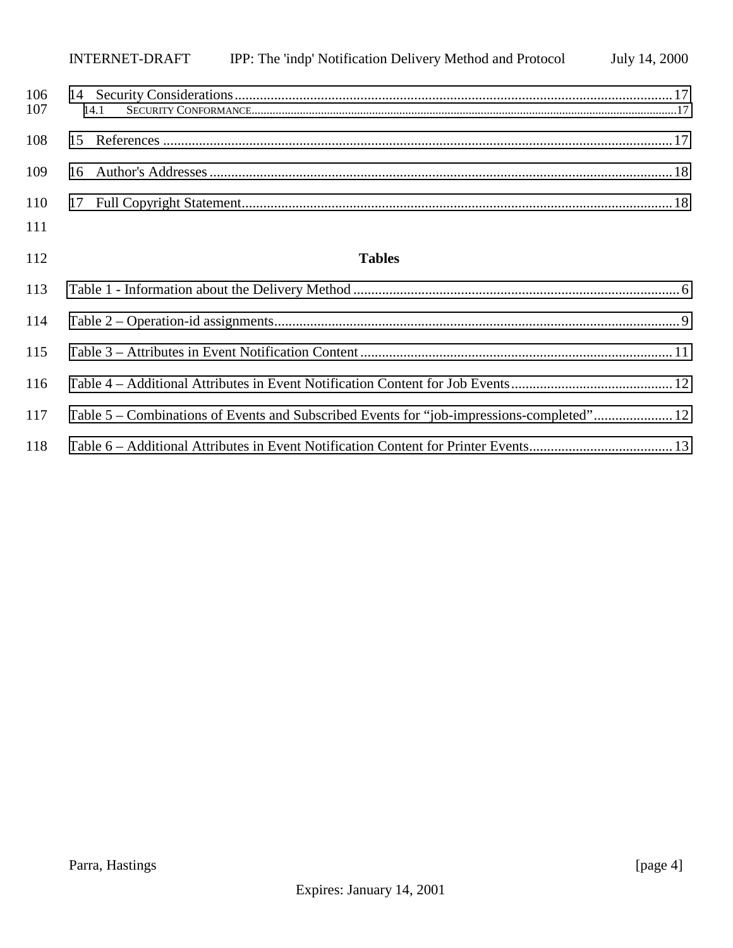|            | INTERNET-DRAFT | IPP: The 'indp' Notification Delivery Method and Protocol | July 14, 2000 |
|------------|----------------|-----------------------------------------------------------|---------------|
| 106<br>107 | 14.1           |                                                           |               |
| 108        |                |                                                           |               |
| 109        |                |                                                           |               |
| 110        |                |                                                           |               |
| 111        |                |                                                           |               |

# **Tables**

| 117 | Table 5 – Combinations of Events and Subscribed Events for "job-impressions-completed"12 |  |
|-----|------------------------------------------------------------------------------------------|--|
| 118 |                                                                                          |  |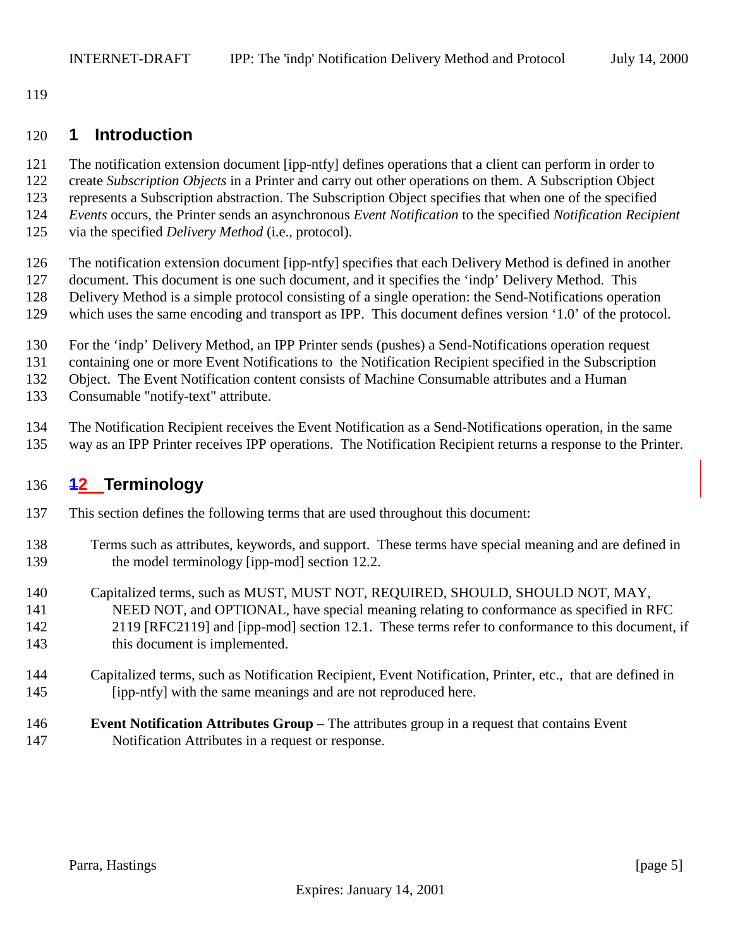<span id="page-4-0"></span>

# **1 Introduction**

- The notification extension document [ipp-ntfy] defines operations that a client can perform in order to
- create *Subscription Objects* in a Printer and carry out other operations on them. A Subscription Object
- represents a Subscription abstraction. The Subscription Object specifies that when one of the specified
- *Events* occurs, the Printer sends an asynchronous *Event Notification* to the specified *Notification Recipient*
- via the specified *Delivery Method* (i.e., protocol).
- The notification extension document [ipp-ntfy] specifies that each Delivery Method is defined in another
- document. This document is one such document, and it specifies the 'indp' Delivery Method. This
- Delivery Method is a simple protocol consisting of a single operation: the Send-Notifications operation
- which uses the same encoding and transport as IPP. This document defines version '1.0' of the protocol.
- For the 'indp' Delivery Method, an IPP Printer sends (pushes) a Send-Notifications operation request
- containing one or more Event Notifications to the Notification Recipient specified in the Subscription

Object. The Event Notification content consists of Machine Consumable attributes and a Human

- Consumable "notify-text" attribute.
- The Notification Recipient receives the Event Notification as a Send-Notifications operation, in the same
- way as an IPP Printer receives IPP operations. The Notification Recipient returns a response to the Printer.

# **12 Terminology**

- This section defines the following terms that are used throughout this document:
- Terms such as attributes, keywords, and support. These terms have special meaning and are defined in 139 the model terminology [ipp-mod] section 12.2.
- Capitalized terms, such as MUST, MUST NOT, REQUIRED, SHOULD, SHOULD NOT, MAY,
- NEED NOT, and OPTIONAL, have special meaning relating to conformance as specified in RFC 2119 [RFC2119] and [ipp-mod] section 12.1. These terms refer to conformance to this document, if
- 143 this document is implemented.
- Capitalized terms, such as Notification Recipient, Event Notification, Printer, etc., that are defined in [ipp-ntfy] with the same meanings and are not reproduced here.
- **Event Notification Attributes Group**  The attributes group in a request that contains Event Notification Attributes in a request or response.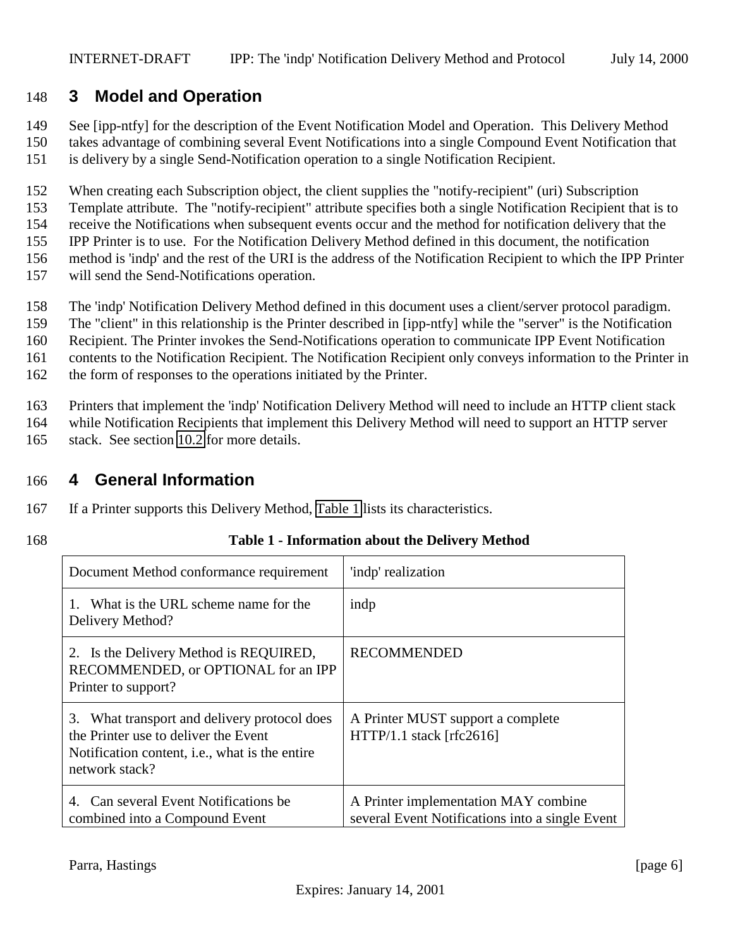# <span id="page-5-0"></span>148 **3 Model and Operation**

149 See [ipp-ntfy] for the description of the Event Notification Model and Operation. This Delivery Method

- 150 takes advantage of combining several Event Notifications into a single Compound Event Notification that 151 is delivery by a single Send-Notification operation to a single Notification Recipient.
- 152 When creating each Subscription object, the client supplies the "notify-recipient" (uri) Subscription
- 153 Template attribute. The "notify-recipient" attribute specifies both a single Notification Recipient that is to
- 154 receive the Notifications when subsequent events occur and the method for notification delivery that the
- 155 IPP Printer is to use. For the Notification Delivery Method defined in this document, the notification
- 156 method is 'indp' and the rest of the URI is the address of the Notification Recipient to which the IPP Printer
- 157 will send the Send-Notifications operation.
- 158 The 'indp' Notification Delivery Method defined in this document uses a client/server protocol paradigm.
- 159 The "client" in this relationship is the Printer described in [ipp-ntfy] while the "server" is the Notification
- 160 Recipient. The Printer invokes the Send-Notifications operation to communicate IPP Event Notification
- 161 contents to the Notification Recipient. The Notification Recipient only conveys information to the Printer in
- 162 the form of responses to the operations initiated by the Printer.
- 163 Printers that implement the 'indp' Notification Delivery Method will need to include an HTTP client stack
- 164 while Notification Recipients that implement this Delivery Method will need to support an HTTP server
- 165 stack. See section [10.2](#page-14-0) for more details.

# 166 **4 General Information**

- 167 If a Printer supports this Delivery Method, Table 1 lists its characteristics.
- 

# 168 **Table 1 - Information about the Delivery Method**

| Document Method conformance requirement                                                                                                                             | 'indp' realization                                                                      |
|---------------------------------------------------------------------------------------------------------------------------------------------------------------------|-----------------------------------------------------------------------------------------|
| 1. What is the URL scheme name for the<br>Delivery Method?                                                                                                          | indp                                                                                    |
| 2. Is the Delivery Method is REQUIRED,<br>RECOMMENDED, or OPTIONAL for an IPP<br>Printer to support?                                                                | <b>RECOMMENDED</b>                                                                      |
| What transport and delivery protocol does<br>3.<br>the Printer use to deliver the Event<br>Notification content, <i>i.e.</i> , what is the entire<br>network stack? | A Printer MUST support a complete<br>$HTTP/1.1$ stack [rfc2616]                         |
| Can several Event Notifications be<br>4.<br>combined into a Compound Event                                                                                          | A Printer implementation MAY combine<br>several Event Notifications into a single Event |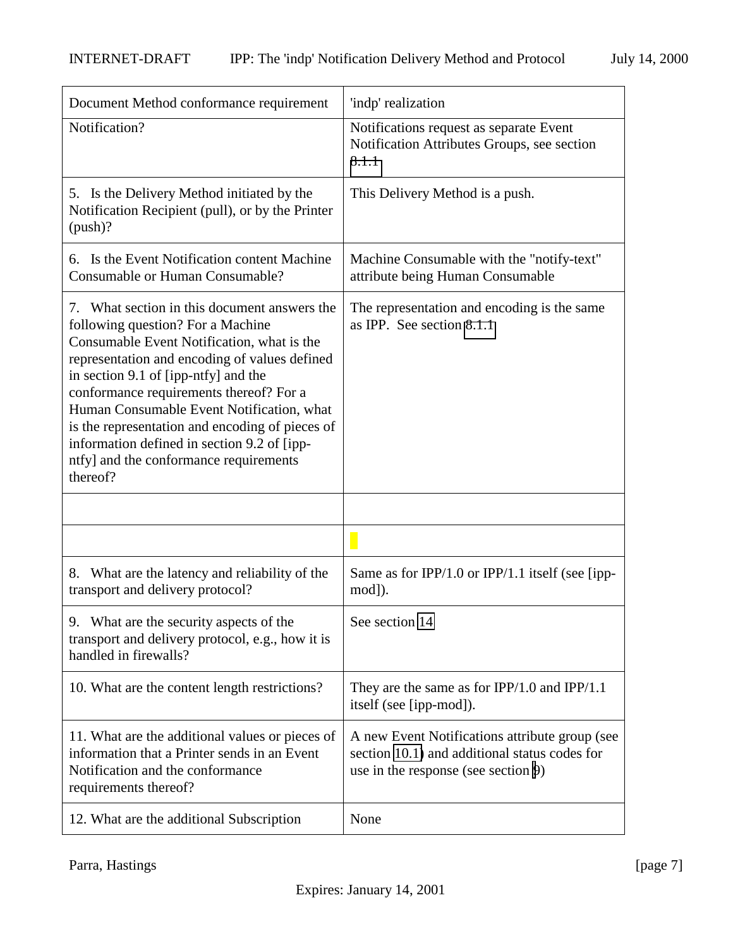| Document Method conformance requirement                                                                                                                                                                                                                                                                                                                                                                                                                                  | 'indp' realization                                                                                                                     |
|--------------------------------------------------------------------------------------------------------------------------------------------------------------------------------------------------------------------------------------------------------------------------------------------------------------------------------------------------------------------------------------------------------------------------------------------------------------------------|----------------------------------------------------------------------------------------------------------------------------------------|
| Notification?                                                                                                                                                                                                                                                                                                                                                                                                                                                            | Notifications request as separate Event<br>Notification Attributes Groups, see section<br>8.1.1                                        |
| 5. Is the Delivery Method initiated by the<br>Notification Recipient (pull), or by the Printer<br>(push)?                                                                                                                                                                                                                                                                                                                                                                | This Delivery Method is a push.                                                                                                        |
| 6. Is the Event Notification content Machine<br><b>Consumable or Human Consumable?</b>                                                                                                                                                                                                                                                                                                                                                                                   | Machine Consumable with the "notify-text"<br>attribute being Human Consumable                                                          |
| 7. What section in this document answers the<br>following question? For a Machine<br>Consumable Event Notification, what is the<br>representation and encoding of values defined<br>in section 9.1 of [ipp-ntfy] and the<br>conformance requirements thereof? For a<br>Human Consumable Event Notification, what<br>is the representation and encoding of pieces of<br>information defined in section 9.2 of [ipp-<br>ntfy] and the conformance requirements<br>thereof? | The representation and encoding is the same<br>as IPP. See section 8.1.1                                                               |
|                                                                                                                                                                                                                                                                                                                                                                                                                                                                          |                                                                                                                                        |
|                                                                                                                                                                                                                                                                                                                                                                                                                                                                          |                                                                                                                                        |
| 8. What are the latency and reliability of the<br>transport and delivery protocol?                                                                                                                                                                                                                                                                                                                                                                                       | Same as for IPP/1.0 or IPP/1.1 itself (see [ipp-<br>mod]).                                                                             |
| 9.<br>What are the security aspects of the<br>transport and delivery protocol, e.g., how it is<br>handled in firewalls?                                                                                                                                                                                                                                                                                                                                                  | See section 14                                                                                                                         |
| 10. What are the content length restrictions?                                                                                                                                                                                                                                                                                                                                                                                                                            | They are the same as for $IPP/1.0$ and $IPP/1.1$<br>itself (see [ipp-mod]).                                                            |
| 11. What are the additional values or pieces of<br>information that a Printer sends in an Event<br>Notification and the conformance<br>requirements thereof?                                                                                                                                                                                                                                                                                                             | A new Event Notifications attribute group (see<br>section 10.1) and additional status codes for<br>use in the response (see section 9) |
| 12. What are the additional Subscription                                                                                                                                                                                                                                                                                                                                                                                                                                 | None                                                                                                                                   |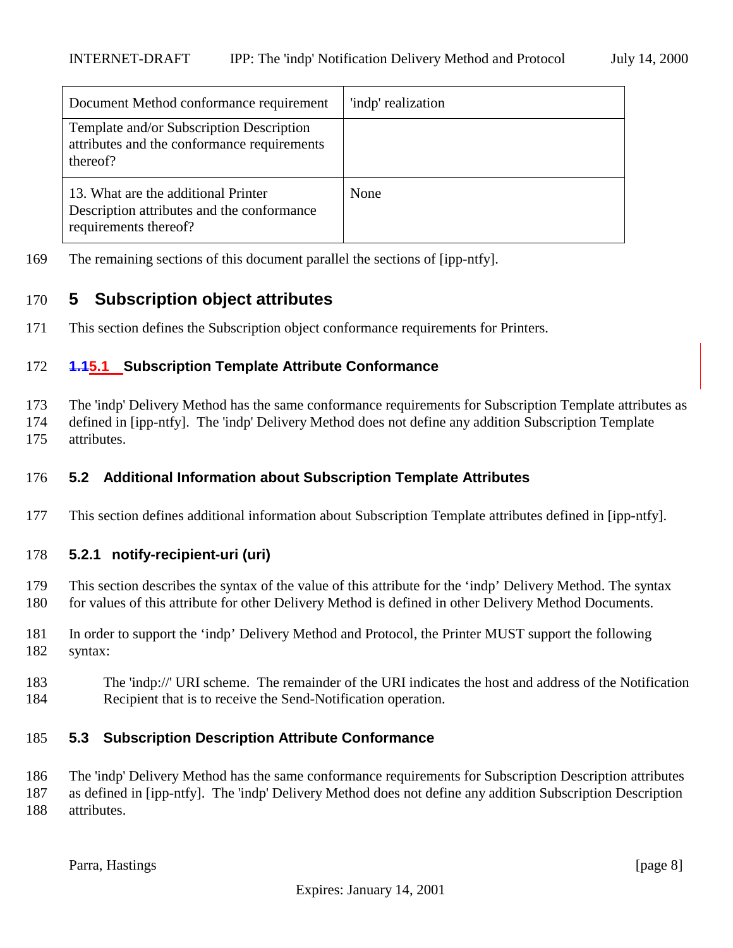<span id="page-7-0"></span>

| Document Method conformance requirement                                                                    | 'indp' realization |
|------------------------------------------------------------------------------------------------------------|--------------------|
| Template and/or Subscription Description<br>attributes and the conformance requirements<br>thereof?        |                    |
| 13. What are the additional Printer<br>Description attributes and the conformance<br>requirements thereof? | None               |

The remaining sections of this document parallel the sections of [ipp-ntfy].

# **5 Subscription object attributes**

This section defines the Subscription object conformance requirements for Printers.

#### **1.15.1 Subscription Template Attribute Conformance**

 The 'indp' Delivery Method has the same conformance requirements for Subscription Template attributes as defined in [ipp-ntfy]. The 'indp' Delivery Method does not define any addition Subscription Template attributes.

### **5.2 Additional Information about Subscription Template Attributes**

This section defines additional information about Subscription Template attributes defined in [ipp-ntfy].

#### **5.2.1 notify-recipient-uri (uri)**

- This section describes the syntax of the value of this attribute for the 'indp' Delivery Method. The syntax 180 for values of this attribute for other Delivery Method is defined in other Delivery Method Documents.
- In order to support the 'indp' Delivery Method and Protocol, the Printer MUST support the following syntax:
- The 'indp://' URI scheme. The remainder of the URI indicates the host and address of the Notification Recipient that is to receive the Send-Notification operation.

#### **5.3 Subscription Description Attribute Conformance**

 The 'indp' Delivery Method has the same conformance requirements for Subscription Description attributes as defined in [ipp-ntfy]. The 'indp' Delivery Method does not define any addition Subscription Description attributes.

Parra, Hastings [page 8]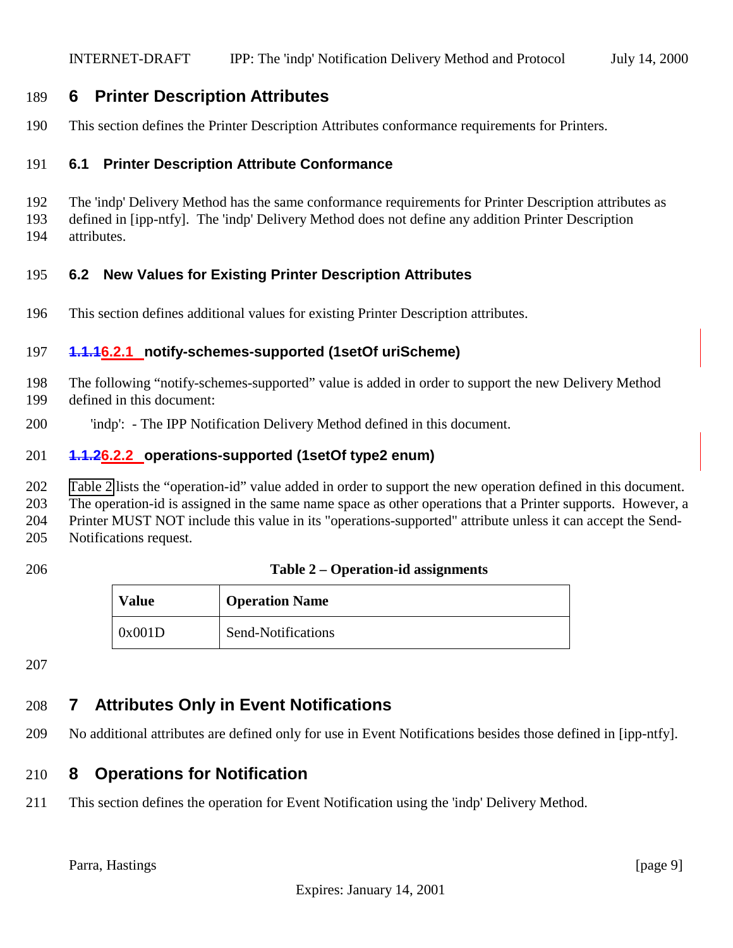# <span id="page-8-0"></span>**6 Printer Description Attributes**

This section defines the Printer Description Attributes conformance requirements for Printers.

# **6.1 Printer Description Attribute Conformance**

 The 'indp' Delivery Method has the same conformance requirements for Printer Description attributes as defined in [ipp-ntfy]. The 'indp' Delivery Method does not define any addition Printer Description attributes.

#### **6.2 New Values for Existing Printer Description Attributes**

This section defines additional values for existing Printer Description attributes.

#### **1.1.16.2.1 notify-schemes-supported (1setOf uriScheme)**

- The following "notify-schemes-supported" value is added in order to support the new Delivery Method defined in this document:
- 'indp': The IPP Notification Delivery Method defined in this document.

#### **1.1.26.2.2 operations-supported (1setOf type2 enum)**

Table 2 lists the "operation-id" value added in order to support the new operation defined in this document.

The operation-id is assigned in the same name space as other operations that a Printer supports. However, a

Printer MUST NOT include this value in its "operations-supported" attribute unless it can accept the Send-

Notifications request.

#### **Table 2 – Operation-id assignments**

| <b>Value</b> | <b>Operation Name</b> |
|--------------|-----------------------|
| 0x001D       | Send-Notifications    |

# **7 Attributes Only in Event Notifications**

No additional attributes are defined only for use in Event Notifications besides those defined in [ipp-ntfy].

# **8 Operations for Notification**

This section defines the operation for Event Notification using the 'indp' Delivery Method.

Parra, Hastings [page 9]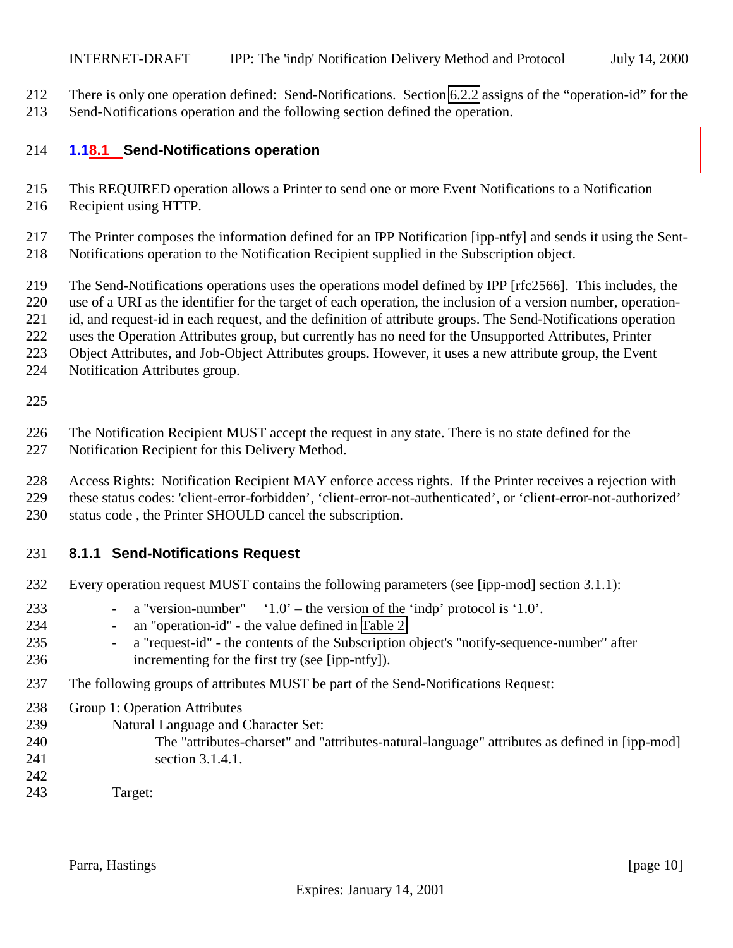<span id="page-9-0"></span> There is only one operation defined: Send-Notifications. Section [6.2.2](#page-8-0) assigns of the "operation-id" for the Send-Notifications operation and the following section defined the operation.

#### **1.18.1 Send-Notifications operation**

- This REQUIRED operation allows a Printer to send one or more Event Notifications to a Notification
- Recipient using HTTP.
- The Printer composes the information defined for an IPP Notification [ipp-ntfy] and sends it using the Sent-
- Notifications operation to the Notification Recipient supplied in the Subscription object.
- The Send-Notifications operations uses the operations model defined by IPP [rfc2566]. This includes, the
- use of a URI as the identifier for the target of each operation, the inclusion of a version number, operation-
- id, and request-id in each request, and the definition of attribute groups. The Send-Notifications operation
- uses the Operation Attributes group, but currently has no need for the Unsupported Attributes, Printer
- Object Attributes, and Job-Object Attributes groups. However, it uses a new attribute group, the Event
- Notification Attributes group.

The Notification Recipient MUST accept the request in any state. There is no state defined for the

- Notification Recipient for this Delivery Method.
- Access Rights: Notification Recipient MAY enforce access rights. If the Printer receives a rejection with
- these status codes: 'client-error-forbidden', 'client-error-not-authenticated', or 'client-error-not-authorized'
- status code , the Printer SHOULD cancel the subscription.

# **8.1.1 Send-Notifications Request**

- Every operation request MUST contains the following parameters (see [ipp-mod] section 3.1.1):
- a "version-number" '1.0' the version of the 'indp' protocol is '1.0'.
- 234 an "operation-id" the value defined in [Table 2](#page-8-0)
- 235 a "request-id" the contents of the Subscription object's "notify-sequence-number" after incrementing for the first try (see [ipp-ntfy]).
- The following groups of attributes MUST be part of the Send-Notifications Request:
- Group 1: Operation Attributes
- Natural Language and Character Set:
- The "attributes-charset" and "attributes-natural-language" attributes as defined in [ipp-mod] section 3.1.4.1.
- 
- Target: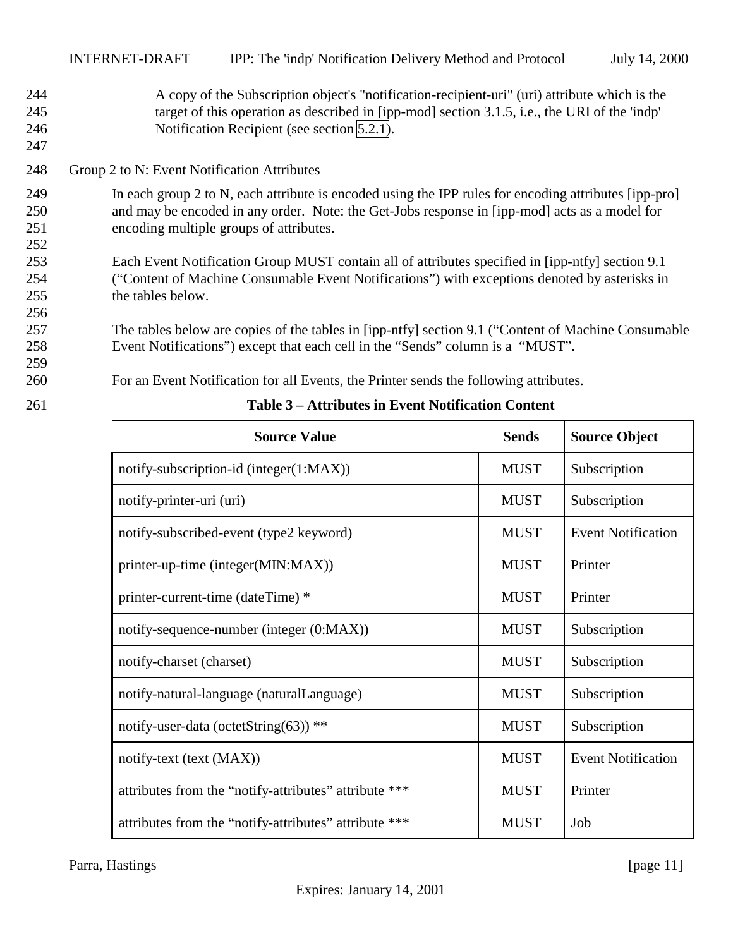- <span id="page-10-0"></span>244 A copy of the Subscription object's "notification-recipient-uri" (uri) attribute which is the 245 target of this operation as described in [ipp-mod] section 3.1.5, i.e., the URI of the 'indp' 246 Notification Recipient (see section [5.2.1\)](#page-7-0).
- 248 Group 2 to N: Event Notification Attributes
- 249 In each group 2 to N, each attribute is encoded using the IPP rules for encoding attributes [ipp-pro] 250 and may be encoded in any order. Note: the Get-Jobs response in [ipp-mod] acts as a model for 251 encoding multiple groups of attributes.
- 253 Each Event Notification Group MUST contain all of attributes specified in [ipp-ntfy] section 9.1 254 ("Content of Machine Consumable Event Notifications") with exceptions denoted by asterisks in 255 the tables below.
- 257 The tables below are copies of the tables in [ipp-ntfy] section 9.1 ("Content of Machine Consumable 258 Event Notifications") except that each cell in the "Sends" column is a "MUST".
- 259

247

252

256

- 260 For an Event Notification for all Events, the Printer sends the following attributes.
- 

| <b>Source Value</b>                                   | <b>Sends</b> | <b>Source Object</b>      |
|-------------------------------------------------------|--------------|---------------------------|
| notify-subscription-id (integer(1:MAX))               | <b>MUST</b>  | Subscription              |
| notify-printer-uri (uri)                              | <b>MUST</b>  | Subscription              |
| notify-subscribed-event (type2 keyword)               | <b>MUST</b>  | <b>Event Notification</b> |
| printer-up-time (integer(MIN:MAX))                    | <b>MUST</b>  | Printer                   |
| printer-current-time (dateTime) *                     | <b>MUST</b>  | Printer                   |
| notify-sequence-number (integer (0:MAX))              | <b>MUST</b>  | Subscription              |
| notify-charset (charset)                              | <b>MUST</b>  | Subscription              |
| notify-natural-language (naturalLanguage)             | <b>MUST</b>  | Subscription              |
| notify-user-data (octetString(63)) **                 | <b>MUST</b>  | Subscription              |
| notify-text (text (MAX))                              | <b>MUST</b>  | <b>Event Notification</b> |
| attributes from the "notify-attributes" attribute *** | <b>MUST</b>  | Printer                   |
| attributes from the "notify-attributes" attribute *** | <b>MUST</b>  | Job                       |

261 **Table 3 – Attributes in Event Notification Content**

Parra, Hastings [page 11]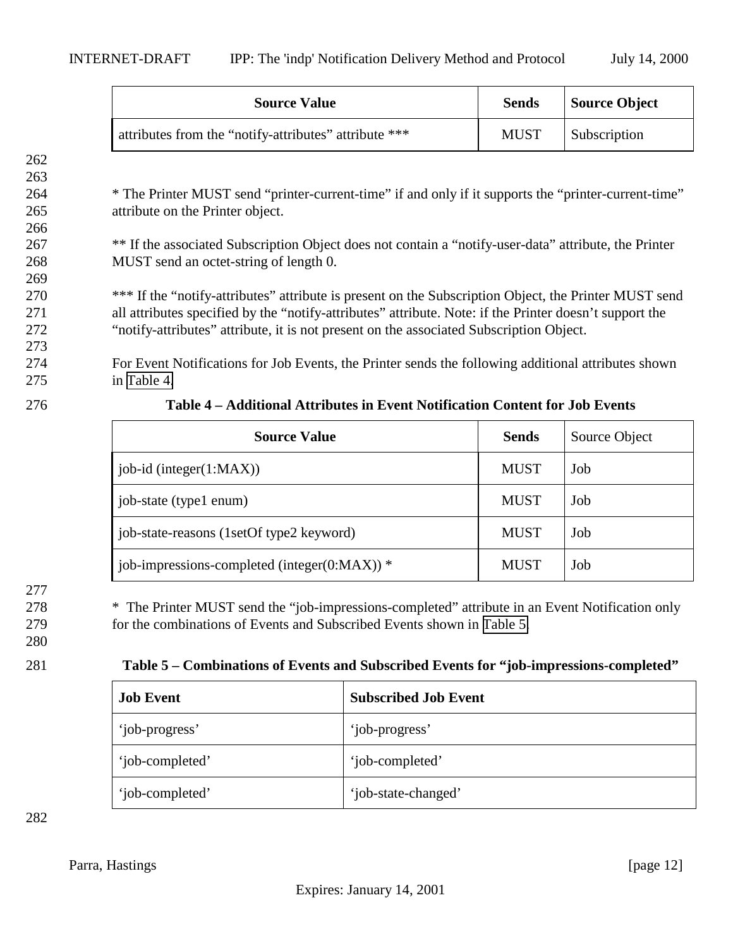<span id="page-11-0"></span>

| <b>Source Value</b>                                   | <b>Sends</b> | <b>Source Object</b> |
|-------------------------------------------------------|--------------|----------------------|
| attributes from the "notify-attributes" attribute *** | <b>MUST</b>  | <b>Subscription</b>  |

264 \* The Printer MUST send "printer-current-time" if and only if it supports the "printer-current-time" 265 attribute on the Printer object.

267 \*\* If the associated Subscription Object does not contain a "notify-user-data" attribute, the Printer 268 MUST send an octet-string of length 0.

270 \*\*\* If the "notify-attributes" attribute is present on the Subscription Object, the Printer MUST send 271 all attributes specified by the "notify-attributes" attribute. Note: if the Printer doesn't support the 272 "notify-attributes" attribute, it is not present on the associated Subscription Object.

274 For Event Notifications for Job Events, the Printer sends the following additional attributes shown 275 in Table 4.

273

262 263

266

269

276 **Table 4 – Additional Attributes in Event Notification Content for Job Events**

| <b>Source Value</b>                              | <b>Sends</b> | Source Object |
|--------------------------------------------------|--------------|---------------|
| $job-id$ (integer $(1:MAX)$ )                    | <b>MUST</b>  | Job           |
| job-state (type1 enum)                           | <b>MUST</b>  | Job           |
| job-state-reasons (1setOf type2 keyword)         | <b>MUST</b>  | Job           |
| job-impressions-completed (integer( $0:MAX$ )) * | <b>MUST</b>  | Job           |

# 277

278 \* The Printer MUST send the "job-impressions-completed" attribute in an Event Notification only 279 for the combinations of Events and Subscribed Events shown in Table 5.

#### 280

# 281 **Table 5 – Combinations of Events and Subscribed Events for "job-impressions-completed"**

| <b>Job Event</b> | <b>Subscribed Job Event</b> |
|------------------|-----------------------------|
| 'job-progress'   | 'job-progress'              |
| 'job-completed'  | 'job-completed'             |
| 'job-completed'  | 'job-state-changed'         |

282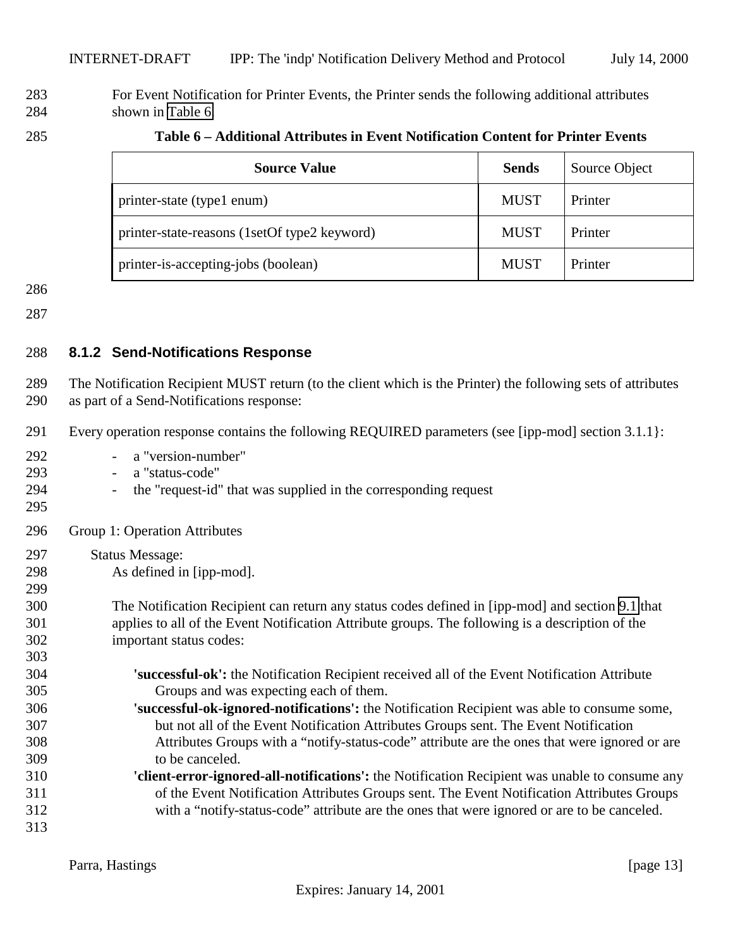#### <span id="page-12-0"></span> For Event Notification for Printer Events, the Printer sends the following additional attributes shown in Table 6.

| 285 | Table 6 – Additional Attributes in Event Notification Content for Printer Events |
|-----|----------------------------------------------------------------------------------|
|     |                                                                                  |

| <b>Source Value</b>                          | Sends       | Source Object |
|----------------------------------------------|-------------|---------------|
| printer-state (type1 enum)                   | <b>MUST</b> | Printer       |
| printer-state-reasons (1setOf type2 keyword) | <b>MUST</b> | Printer       |
| printer-is-accepting-jobs (boolean)          | <b>MUST</b> | Printer       |

#### **8.1.2 Send-Notifications Response**

 The Notification Recipient MUST return (to the client which is the Printer) the following sets of attributes as part of a Send-Notifications response:

- Every operation response contains the following REQUIRED parameters (see [ipp-mod] section 3.1.1}:
- a "version-number" - a "status-code" - the "request-id" that was supplied in the corresponding request Group 1: Operation Attributes Status Message: As defined in [ipp-mod]. The Notification Recipient can return any status codes defined in [ipp-mod] and section [9.1](#page-13-0) that applies to all of the Event Notification Attribute groups. The following is a description of the important status codes: **'successful-ok':** the Notification Recipient received all of the Event Notification Attribute Groups and was expecting each of them. **'successful-ok-ignored-notifications':** the Notification Recipient was able to consume some, but not all of the Event Notification Attributes Groups sent. The Event Notification Attributes Groups with a "notify-status-code" attribute are the ones that were ignored or are to be canceled. **'client-error-ignored-all-notifications':** the Notification Recipient was unable to consume any of the Event Notification Attributes Groups sent. The Event Notification Attributes Groups with a "notify-status-code" attribute are the ones that were ignored or are to be canceled.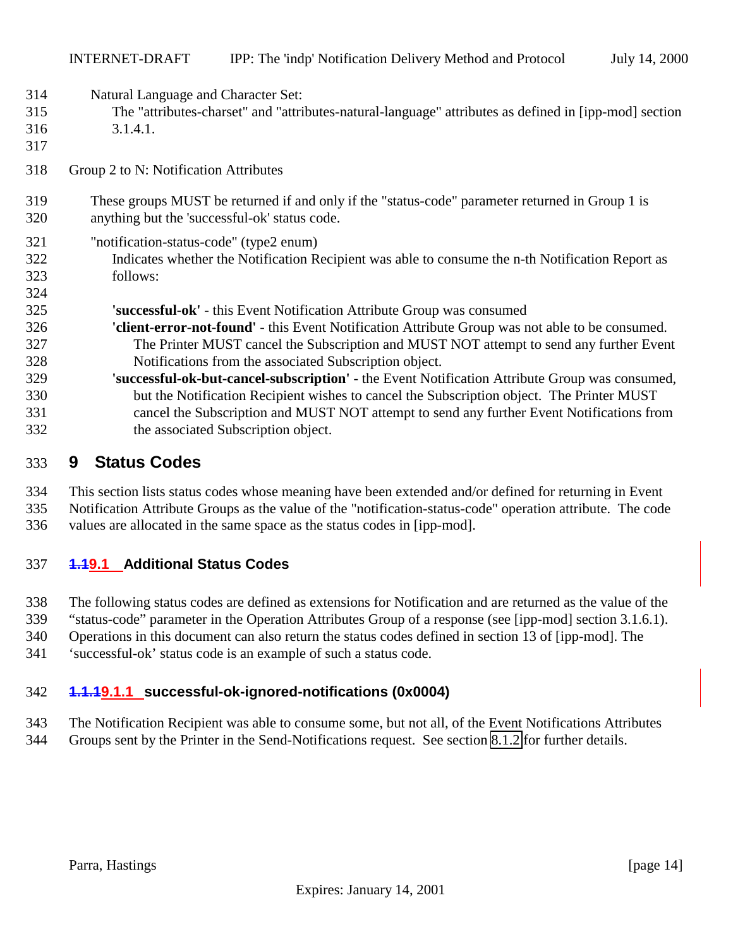<span id="page-13-0"></span>Natural Language and Character Set:

- The "attributes-charset" and "attributes-natural-language" attributes as defined in [ipp-mod] section 3.1.4.1.
- 

- Group 2 to N: Notification Attributes
- These groups MUST be returned if and only if the "status-code" parameter returned in Group 1 is anything but the 'successful-ok' status code.
- "notification-status-code" (type2 enum)
- Indicates whether the Notification Recipient was able to consume the n-th Notification Report as follows:
- **'successful-ok'** this Event Notification Attribute Group was consumed
- **'client-error-not-found'** this Event Notification Attribute Group was not able to be consumed. The Printer MUST cancel the Subscription and MUST NOT attempt to send any further Event Notifications from the associated Subscription object.
- **'successful-ok-but-cancel-subscription'** the Event Notification Attribute Group was consumed, but the Notification Recipient wishes to cancel the Subscription object. The Printer MUST cancel the Subscription and MUST NOT attempt to send any further Event Notifications from the associated Subscription object.

# **9 Status Codes**

- This section lists status codes whose meaning have been extended and/or defined for returning in Event
- Notification Attribute Groups as the value of the "notification-status-code" operation attribute. The code
- values are allocated in the same space as the status codes in [ipp-mod].

# **1.19.1 Additional Status Codes**

- The following status codes are defined as extensions for Notification and are returned as the value of the
- "status-code" parameter in the Operation Attributes Group of a response (see [ipp-mod] section 3.1.6.1).
- Operations in this document can also return the status codes defined in section 13 of [ipp-mod]. The
- 'successful-ok' status code is an example of such a status code.

# **1.1.19.1.1 successful-ok-ignored-notifications (0x0004)**

- The Notification Recipient was able to consume some, but not all, of the Event Notifications Attributes
- Groups sent by the Printer in the Send-Notifications request. See section [8.1.2](#page-12-0) for further details.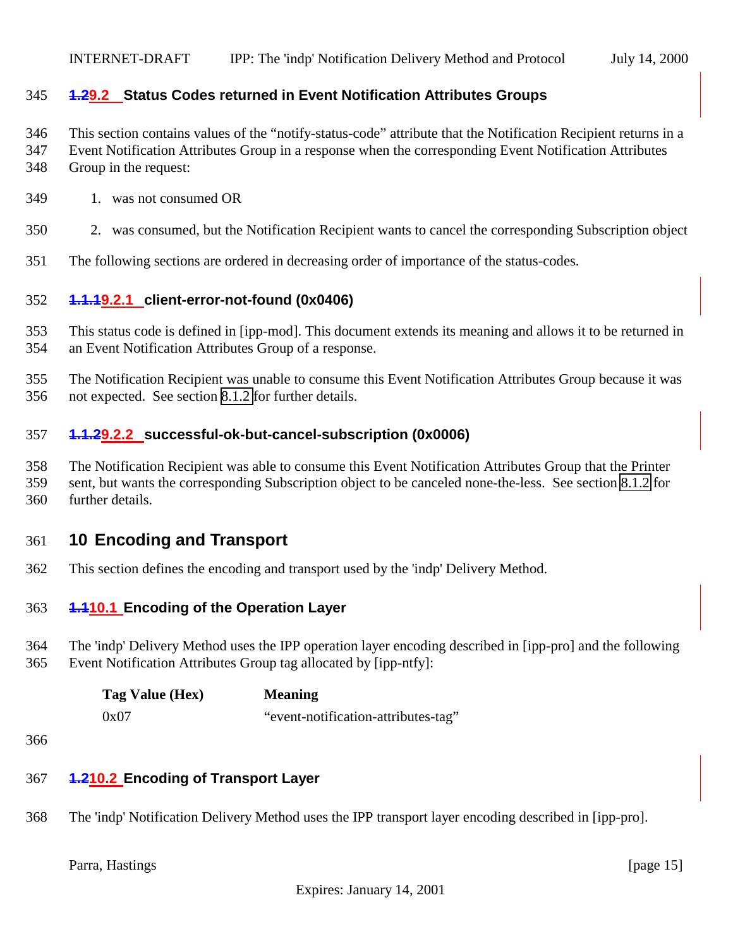#### <span id="page-14-0"></span>**1.29.2 Status Codes returned in Event Notification Attributes Groups**

This section contains values of the "notify-status-code" attribute that the Notification Recipient returns in a

- Event Notification Attributes Group in a response when the corresponding Event Notification Attributes
- Group in the request:
- 1. was not consumed OR
- 2. was consumed, but the Notification Recipient wants to cancel the corresponding Subscription object
- The following sections are ordered in decreasing order of importance of the status-codes.

#### **1.1.19.2.1 client-error-not-found (0x0406)**

- This status code is defined in [ipp-mod]. This document extends its meaning and allows it to be returned in an Event Notification Attributes Group of a response.
- The Notification Recipient was unable to consume this Event Notification Attributes Group because it was not expected. See section [8.1.2](#page-12-0) for further details.

#### **1.1.29.2.2 successful-ok-but-cancel-subscription (0x0006)**

- The Notification Recipient was able to consume this Event Notification Attributes Group that the Printer
- sent, but wants the corresponding Subscription object to be canceled none-the-less. See section [8.1.2](#page-12-0) for further details.

# **10 Encoding and Transport**

This section defines the encoding and transport used by the 'indp' Delivery Method.

#### **1.110.1 Encoding of the Operation Layer**

 The 'indp' Delivery Method uses the IPP operation layer encoding described in [ipp-pro] and the following Event Notification Attributes Group tag allocated by [ipp-ntfy]:

| Tag Value (Hex) | <b>Meaning</b>                      |
|-----------------|-------------------------------------|
| 0x07            | "event-notification-attributes-tag" |

#### **1.210.2 Encoding of Transport Layer**

The 'indp' Notification Delivery Method uses the IPP transport layer encoding described in [ipp-pro].

Parra, Hastings [page 15]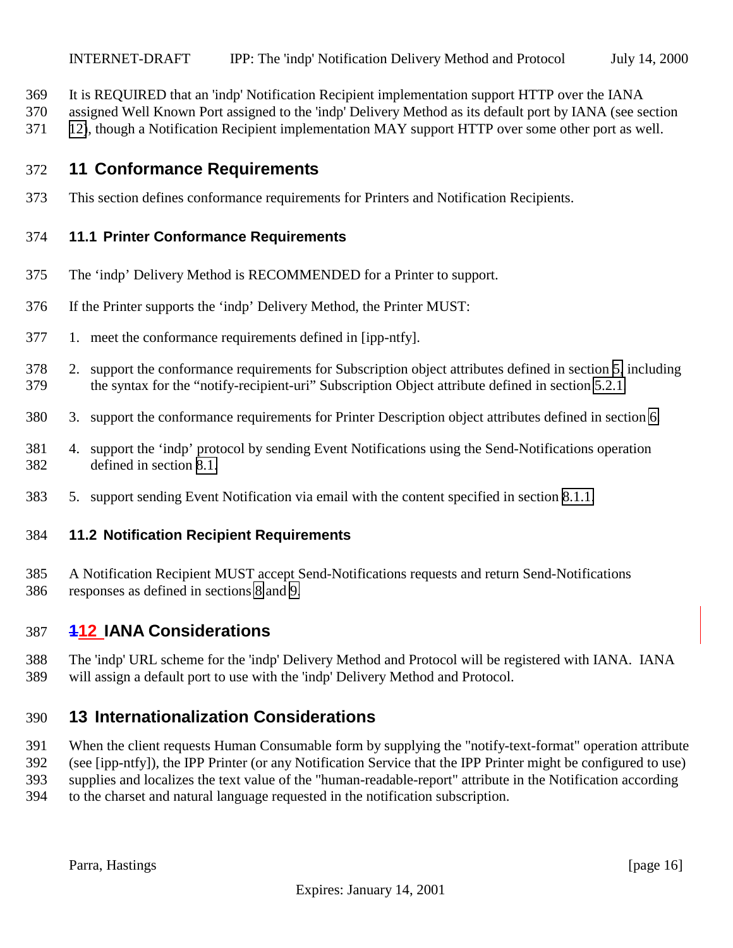- <span id="page-15-0"></span>It is REQUIRED that an 'indp' Notification Recipient implementation support HTTP over the IANA
- assigned Well Known Port assigned to the 'indp' Delivery Method as its default port by IANA (see section
- 12), though a Notification Recipient implementation MAY support HTTP over some other port as well.

# **11 Conformance Requirements**

This section defines conformance requirements for Printers and Notification Recipients.

#### **11.1 Printer Conformance Requirements**

- The 'indp' Delivery Method is RECOMMENDED for a Printer to support.
- If the Printer supports the 'indp' Delivery Method, the Printer MUST:
- 1. meet the conformance requirements defined in [ipp-ntfy].
- 2. support the conformance requirements for Subscription object attributes defined in section [5,](#page-7-0) including the syntax for the "notify-recipient-uri" Subscription Object attribute defined in section [5.2.1.](#page-7-0)
- 3. support the conformance requirements for Printer Description object attributes defined in section [6.](#page-8-0)
- 4. support the 'indp' protocol by sending Event Notifications using the Send-Notifications operation defined in section [8.1.](#page-9-0)
- 5. support sending Event Notification via email with the content specified in section [8.1.1.](#page-9-0)

#### **11.2 Notification Recipient Requirements**

 A Notification Recipient MUST accept Send-Notifications requests and return Send-Notifications responses as defined in sections [8](#page-8-0) and [9.](#page-13-0)

# **112 IANA Considerations**

 The 'indp' URL scheme for the 'indp' Delivery Method and Protocol will be registered with IANA. IANA will assign a default port to use with the 'indp' Delivery Method and Protocol.

# **13 Internationalization Considerations**

 When the client requests Human Consumable form by supplying the "notify-text-format" operation attribute (see [ipp-ntfy]), the IPP Printer (or any Notification Service that the IPP Printer might be configured to use) supplies and localizes the text value of the "human-readable-report" attribute in the Notification according

to the charset and natural language requested in the notification subscription.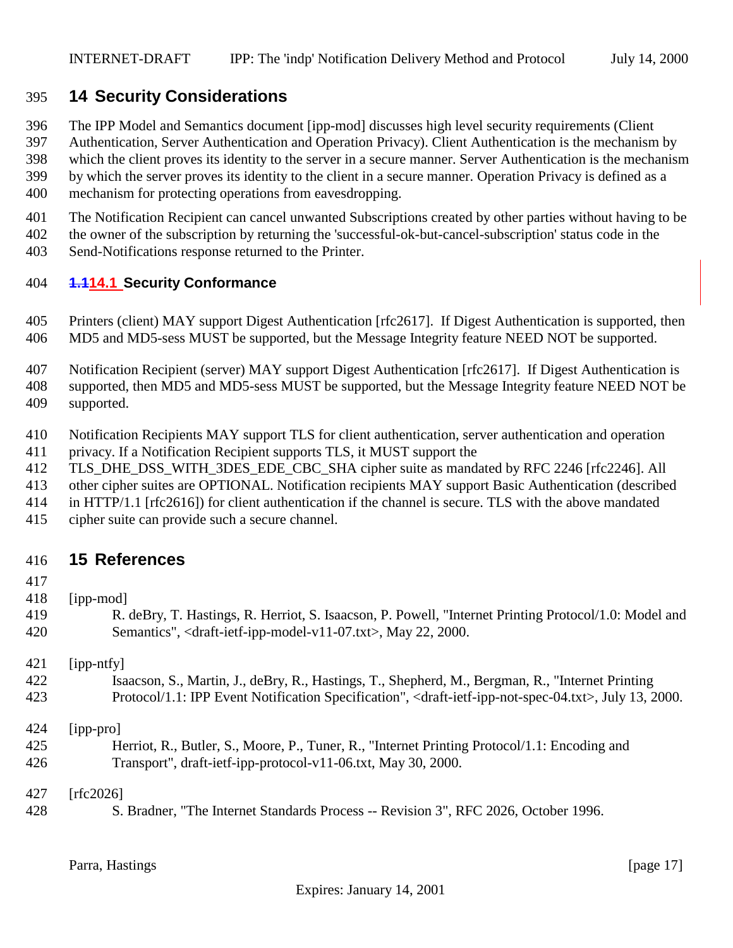# <span id="page-16-0"></span>**14 Security Considerations**

The IPP Model and Semantics document [ipp-mod] discusses high level security requirements (Client

Authentication, Server Authentication and Operation Privacy). Client Authentication is the mechanism by

which the client proves its identity to the server in a secure manner. Server Authentication is the mechanism

by which the server proves its identity to the client in a secure manner. Operation Privacy is defined as a

- mechanism for protecting operations from eavesdropping.
- The Notification Recipient can cancel unwanted Subscriptions created by other parties without having to be
- the owner of the subscription by returning the 'successful-ok-but-cancel-subscription' status code in the
- Send-Notifications response returned to the Printer.

#### **1.114.1 Security Conformance**

- Printers (client) MAY support Digest Authentication [rfc2617]. If Digest Authentication is supported, then MD5 and MD5-sess MUST be supported, but the Message Integrity feature NEED NOT be supported.
- Notification Recipient (server) MAY support Digest Authentication [rfc2617]. If Digest Authentication is supported, then MD5 and MD5-sess MUST be supported, but the Message Integrity feature NEED NOT be supported.
- Notification Recipients MAY support TLS for client authentication, server authentication and operation privacy. If a Notification Recipient supports TLS, it MUST support the
- 412 TLS DHE DSS WITH 3DES EDE CBC SHA cipher suite as mandated by RFC 2246 [rfc2246]. All
- other cipher suites are OPTIONAL. Notification recipients MAY support Basic Authentication (described
- in HTTP/1.1 [rfc2616]) for client authentication if the channel is secure. TLS with the above mandated
- cipher suite can provide such a secure channel.

#### **15 References**

- 
- [ipp-mod]
- R. deBry, T. Hastings, R. Herriot, S. Isaacson, P. Powell, "Internet Printing Protocol/1.0: Model and Semantics", <draft-ietf-ipp-model-v11-07.txt>, May 22, 2000.

[ipp-ntfy]

 Isaacson, S., Martin, J., deBry, R., Hastings, T., Shepherd, M., Bergman, R., "Internet Printing Protocol/1.1: IPP Event Notification Specification", <draft-ietf-ipp-not-spec-04.txt>, July 13, 2000.

[ipp-pro]

 Herriot, R., Butler, S., Moore, P., Tuner, R., "Internet Printing Protocol/1.1: Encoding and Transport", draft-ietf-ipp-protocol-v11-06.txt, May 30, 2000.

[rfc2026]

S. Bradner, "The Internet Standards Process -- Revision 3", RFC 2026, October 1996.

Parra, Hastings [page 17]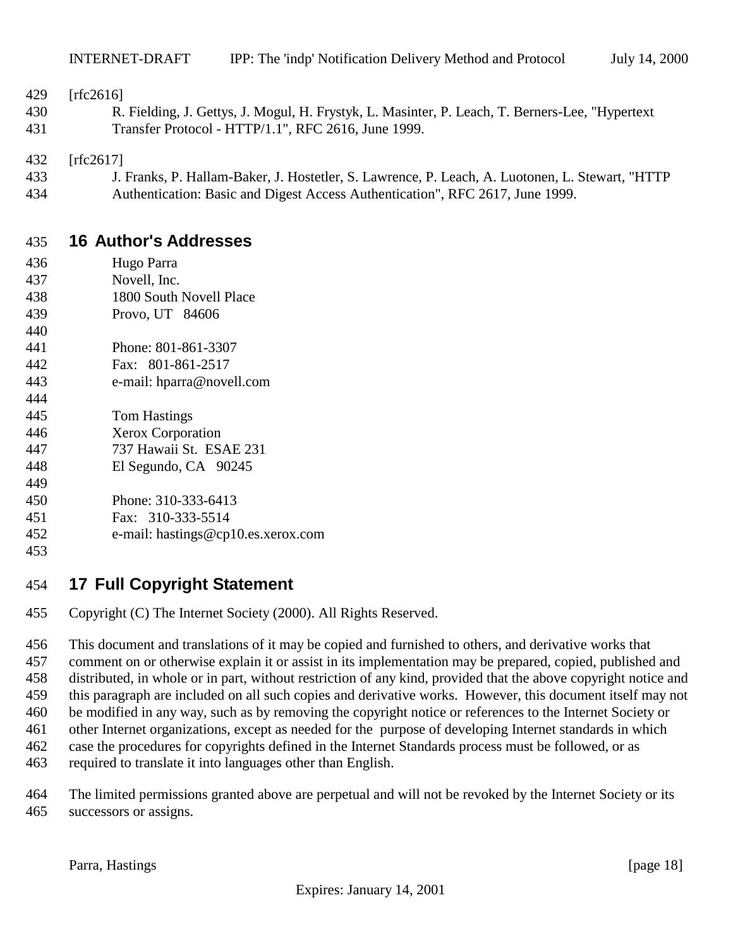#### <span id="page-17-0"></span>[rfc2616]

 R. Fielding, J. Gettys, J. Mogul, H. Frystyk, L. Masinter, P. Leach, T. Berners-Lee, "Hypertext Transfer Protocol - HTTP/1.1", RFC 2616, June 1999.

[rfc2617]

 J. Franks, P. Hallam-Baker, J. Hostetler, S. Lawrence, P. Leach, A. Luotonen, L. Stewart, "HTTP Authentication: Basic and Digest Access Authentication", RFC 2617, June 1999.

# **16 Author's Addresses**

- Hugo Parra
- Novell, Inc.
- 1800 South Novell Place
- Provo, UT 84606
- Phone: 801-861-3307
- Fax: 801-861-2517
- e-mail: hparra@novell.com
- Tom Hastings
- Xerox Corporation
- 737 Hawaii St. ESAE 231
- El Segundo, CA 90245
- 
- Phone: 310-333-6413
- Fax: 310-333-5514 e-mail: hastings@cp10.es.xerox.com
- 

# **17 Full Copyright Statement**

Copyright (C) The Internet Society (2000). All Rights Reserved.

 This document and translations of it may be copied and furnished to others, and derivative works that comment on or otherwise explain it or assist in its implementation may be prepared, copied, published and distributed, in whole or in part, without restriction of any kind, provided that the above copyright notice and this paragraph are included on all such copies and derivative works. However, this document itself may not be modified in any way, such as by removing the copyright notice or references to the Internet Society or other Internet organizations, except as needed for the purpose of developing Internet standards in which case the procedures for copyrights defined in the Internet Standards process must be followed, or as required to translate it into languages other than English.

 The limited permissions granted above are perpetual and will not be revoked by the Internet Society or its successors or assigns.

Parra, Hastings [page 18]